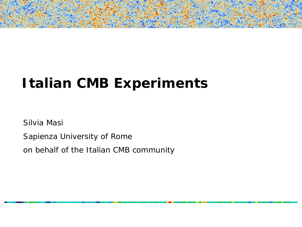# **Italian CMB Experiments**

Silvia Masi

Sapienza University of Rome

on behalf of the Italian CMB community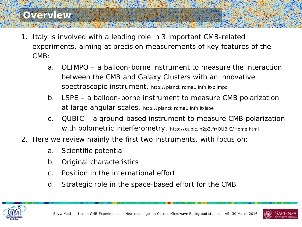#### **Overview**

- 1. Italy is involved *with a leading role* in 3 important CMB-related experiments, aiming at precision measurements of key features of the CMB:
	- a. OLIMPO a balloon-borne instrument to measure the interaction between the CMB and Galaxy Clusters with an innovative spectroscopic instrument. http://planck.roma1.infn.it/olimpo
	- b. LSPE a balloon-borne instrument to measure CMB polarization at large angular scales. http://planck.roma1.infn.it/lspe
	- c. QUBIC a ground-based instrument to measure CMB polarization with bolometric interferometry. http://qubic.in2p3.fr/QUBIC/Home.html
- 2. Here we review mainly the first two instruments, with focus on:
	- a. Scientific potential
	- b. Original characteristics
	- c. Position in the international effort
	- d. Strategic role in the space-based effort for the CMB



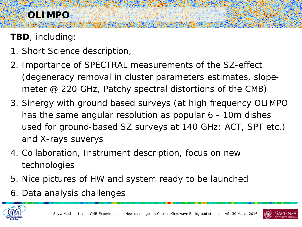## **OLIMPO**

**TBD**, including:

- 1. Short Science description,
- 2. Importance of SPECTRAL measurements of the SZ-effect (degeneracy removal in cluster parameters estimates, slopemeter @ 220 GHz, Patchy spectral distortions of the CMB)
- 3. Sinergy with ground based surveys (at high frequency OLIMPO has the same angular resolution as popular 6 - 10m dishes used for ground-based SZ surveys at 140 GHz: ACT, SPT etc.) and X-rays suverys
- 4. Collaboration, Instrument description, focus on new technologies
- 5. Nice pictures of HW and system ready to be launched
- 6. Data analysis challenges



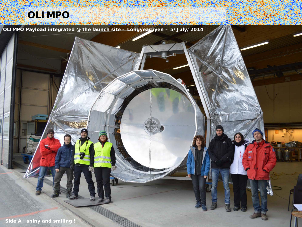#### **OLIMPO**

**OLIMPO Payload integrated @ the launch site – Longyearbyen – 5/July/2014**

Silvia Masi – Italian CMB Experiments – New challenges in Cosmic Microwave Backgroud studies – ASI 30 March 2016

**Side A : shiny and smiling !**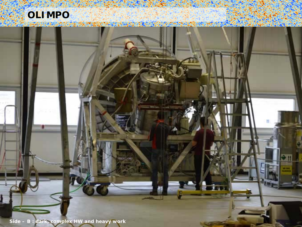

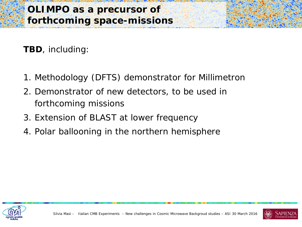**TBD**, including:

- 1. Methodology (DFTS) demonstrator for Millimetron
- 2. Demonstrator of new detectors, to be used in forthcoming missions
- 3. Extension of BLAST at lower frequency
- 4. Polar ballooning in the northern hemisphere



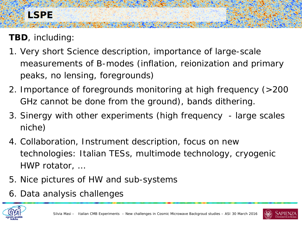**TBD**, including:

- 1. Very short Science description, importance of large-scale measurements of B-modes (inflation, reionization and primary peaks, no lensing, foregrounds)
- 2. Importance of foregrounds monitoring at high frequency (>200 GHz cannot be done from the ground), bands dithering.
- 3. Sinergy with other experiments (high frequency large scales niche)
- 4. Collaboration, Instrument description, focus on new technologies: Italian TESs, multimode technology, cryogenic HWP rotator, …
- 5. Nice pictures of HW and sub-systems
- 6. Data analysis challenges





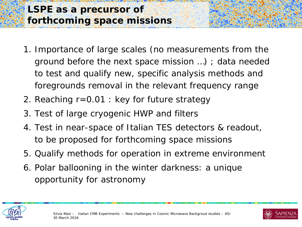#### **LSPE as a precursor of forthcoming space missions**

- 1. Importance of large scales (no measurements from the ground before the next space mission …) ; data needed to test and qualify new, specific analysis methods and foregrounds removal in the relevant frequency range
- 2. Reaching r=0.01 : key for future strategy
- 3. Test of large cryogenic HWP and filters
- 4. Test in near-space of Italian TES detectors & readout, to be proposed for forthcoming space missions
- 5. Qualify methods for operation in extreme environment
- 6. Polar ballooning in the winter darkness: a unique opportunity for astronomy



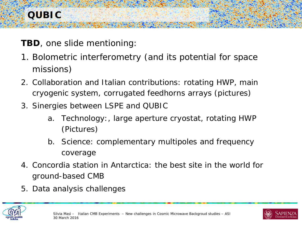**TBD**, one slide mentioning:

- 1. Bolometric interferometry (and its potential for space missions)
- 2. Collaboration and Italian contributions: rotating HWP, main cryogenic system, corrugated feedhorns arrays (pictures)
- 3. Sinergies between LSPE and QUBIC
	- a. Technology:, large aperture cryostat, rotating HWP (Pictures)
	- b. Science: complementary multipoles and frequency coverage
- 4. Concordia station in Antarctica: the best site in the world for ground-based CMB
- 5. Data analysis challenges